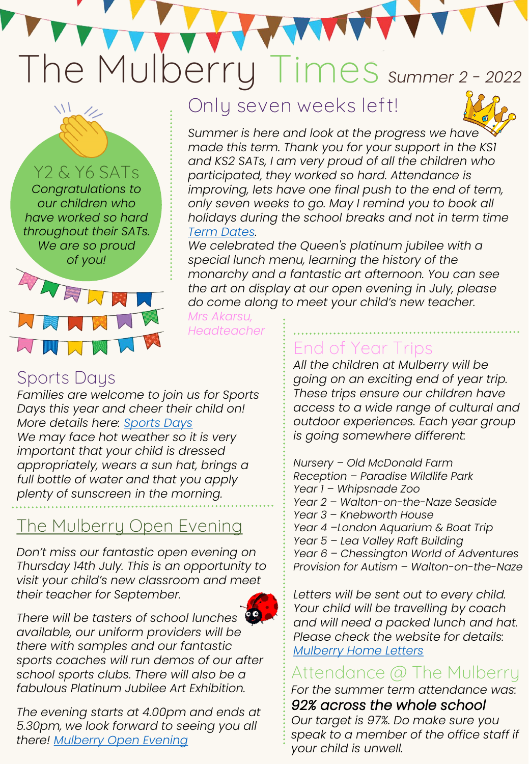# The Mulberry **Times** *Summer 2 - <sup>2022</sup>*

Y2 & Y6 SATs *Congratulations to our children who have worked so hard throughout their SATs. We are so proud of you!*

**Only seven weeks left!**



*Summer is here and look at the progress we have made this term. Thank you for your support in the KS1 and KS2 SATs, I am very proud of all the children who participated, they worked so hard. Attendance is improving, lets have one final push to the end of term, only seven weeks to go. May I remind you to book all holidays during the school breaks and not in term time [Term Dates.](https://themulberryprimaryschool.co.uk/term-dates-2/)* 

WW

*We celebrated the Queen's platinum jubilee with a special lunch menu, learning the history of the monarchy and a fantastic art afternoon. You can see the art on display at our open evening in July, please do come along to meet your child's new teacher.*

*Mrs Akarsu, Headteacher*

#### Sports Days

ANR

WWW

*Families are welcome to join us for Sports Days this year and cheer their child on! More details here: [Sports Days](https://themulberryprimaryschool.co.uk/sports-news-2/) We may face hot weather so it is very important that your child is dressed appropriately, wears a sun hat, brings a full bottle of water and that you apply plenty of sunscreen in the morning.* 

## The Mulberry Open Evening

*Don't miss our fantastic open evening on Thursday 14th July. This is an opportunity to visit your child's new classroom and meet their teacher for September.* 



*There will be tasters of school lunches available, our uniform providers will be there with samples and our fantastic sports coaches will run demos of our after school sports clubs. There will also be a fabulous Platinum Jubilee Art Exhibition.*

*The evening starts at 4.00pm and ends at 5.30pm, we look forward to seeing you all there! [Mulberry Open Evening](https://themulberryprimaryschool.co.uk/wp-content/uploads/2022/05/Open-Evening-Flyer.pdf)*

# End of Year Trips

*All the children at Mulberry will be going on an exciting end of year trip. These trips ensure our children have access to a wide range of cultural and outdoor experiences. Each year group is going somewhere different:*

*Nursery – Old McDonald Farm Reception – Paradise Wildlife Park Year 1 – Whipsnade Zoo Year 2 – Walton-on-the-Naze Seaside Year 3 – Knebworth House Year 4 –London Aquarium & Boat Trip Year 5 – Lea Valley Raft Building Year 6 – Chessington World of Adventures Provision for Autism – Walton-on-the-Naze*

*Letters will be sent out to every child. Your child will be travelling by coach and will need a packed lunch and hat. Please check the website for details: [Mulberry Home Letters](https://themulberryprimaryschool.co.uk/home-letters/)*

## Attendance @ The Mulberry

*For the summer term attendance was: 92% across the whole school*

*Our target is 97%. Do make sure you speak to a member of the office staff if your child is unwell.*